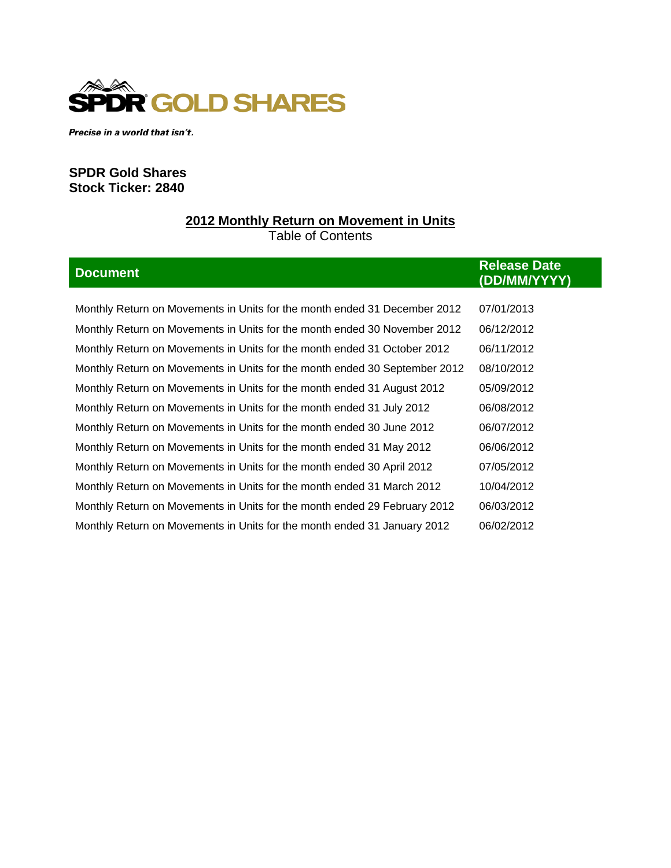

Precise in a world that isn't.

# **SPDR Gold Shares Stock Ticker: 2840**

# **2012 Monthly Return on Movement in Units** Table of Contents

| <b>Document</b>                                                            | <b>Release Date</b><br>(DD/MM/YYYY) |
|----------------------------------------------------------------------------|-------------------------------------|
|                                                                            |                                     |
| Monthly Return on Movements in Units for the month ended 31 December 2012  | 07/01/2013                          |
| Monthly Return on Movements in Units for the month ended 30 November 2012  | 06/12/2012                          |
| Monthly Return on Movements in Units for the month ended 31 October 2012   | 06/11/2012                          |
| Monthly Return on Movements in Units for the month ended 30 September 2012 | 08/10/2012                          |
| Monthly Return on Movements in Units for the month ended 31 August 2012    | 05/09/2012                          |
| Monthly Return on Movements in Units for the month ended 31 July 2012      | 06/08/2012                          |
| Monthly Return on Movements in Units for the month ended 30 June 2012      | 06/07/2012                          |
| Monthly Return on Movements in Units for the month ended 31 May 2012       | 06/06/2012                          |
| Monthly Return on Movements in Units for the month ended 30 April 2012     | 07/05/2012                          |
| Monthly Return on Movements in Units for the month ended 31 March 2012     | 10/04/2012                          |
| Monthly Return on Movements in Units for the month ended 29 February 2012  | 06/03/2012                          |
| Monthly Return on Movements in Units for the month ended 31 January 2012   | 06/02/2012                          |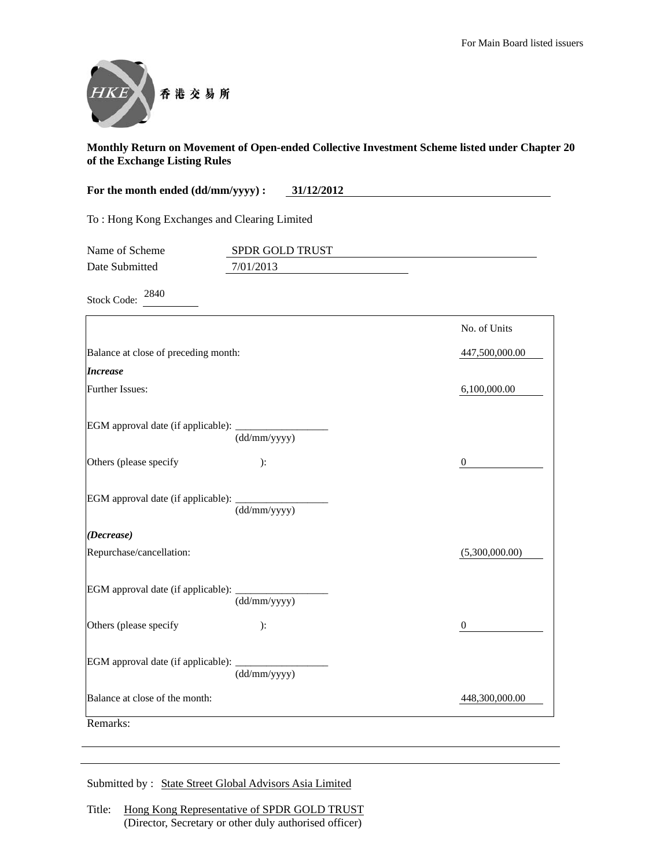

| For the month ended (dd/mm/yyyy) :<br>31/12/2012 |                              |                |
|--------------------------------------------------|------------------------------|----------------|
| To: Hong Kong Exchanges and Clearing Limited     |                              |                |
| Name of Scheme<br>Date Submitted                 | SPDR GOLD TRUST<br>7/01/2013 |                |
| 2840<br><b>Stock Code:</b>                       |                              |                |
|                                                  |                              | No. of Units   |
| Balance at close of preceding month:             |                              | 447,500,000.00 |
| <i><b>Increase</b></i>                           |                              |                |
| Further Issues:                                  |                              | 6,100,000.00   |
| EGM approval date (if applicable):               | (dd/mm/yyyy)                 |                |
| Others (please specify                           | ):                           | $\mathbf{0}$   |
| EGM approval date (if applicable):               | (dd/mm/yyyy)                 |                |
| (Decrease)                                       |                              |                |
| Repurchase/cancellation:                         |                              | (5,300,000.00) |
| EGM approval date (if applicable):               | (dd/mm/yyyy)                 |                |
| Others (please specify                           | ):                           | $\overline{0}$ |
| EGM approval date (if applicable):               | (dd/mm/yyyy)                 |                |
| Balance at close of the month:                   |                              | 448,300,000.00 |
| Remarks:                                         |                              |                |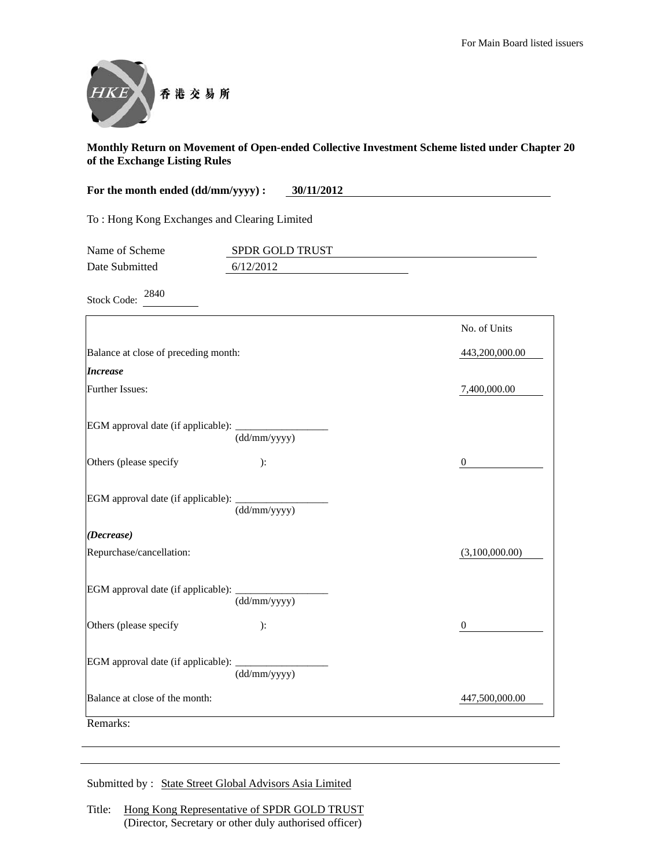

| For the month ended (dd/mm/yyyy) :<br>30/11/2012 |                              |                  |
|--------------------------------------------------|------------------------------|------------------|
| To: Hong Kong Exchanges and Clearing Limited     |                              |                  |
| Name of Scheme<br>Date Submitted                 | SPDR GOLD TRUST<br>6/12/2012 |                  |
| 2840<br><b>Stock Code:</b>                       |                              |                  |
|                                                  |                              | No. of Units     |
| Balance at close of preceding month:             |                              | 443,200,000.00   |
| <b>Increase</b>                                  |                              |                  |
| Further Issues:                                  |                              | 7,400,000.00     |
| EGM approval date (if applicable):               | (dd/mm/yyyy)                 |                  |
| Others (please specify                           | ):                           | $\boldsymbol{0}$ |
| EGM approval date (if applicable):               | (dd/mm/yyyy)                 |                  |
| (Decrease)                                       |                              |                  |
| Repurchase/cancellation:                         |                              | (3,100,000.00)   |
| EGM approval date (if applicable):               | (dd/mm/yyyy)                 |                  |
| Others (please specify                           | ):                           | $\boldsymbol{0}$ |
| EGM approval date (if applicable):               | (dd/mm/yyyy)                 |                  |
| Balance at close of the month:                   |                              | 447,500,000.00   |
| Remarks:                                         |                              |                  |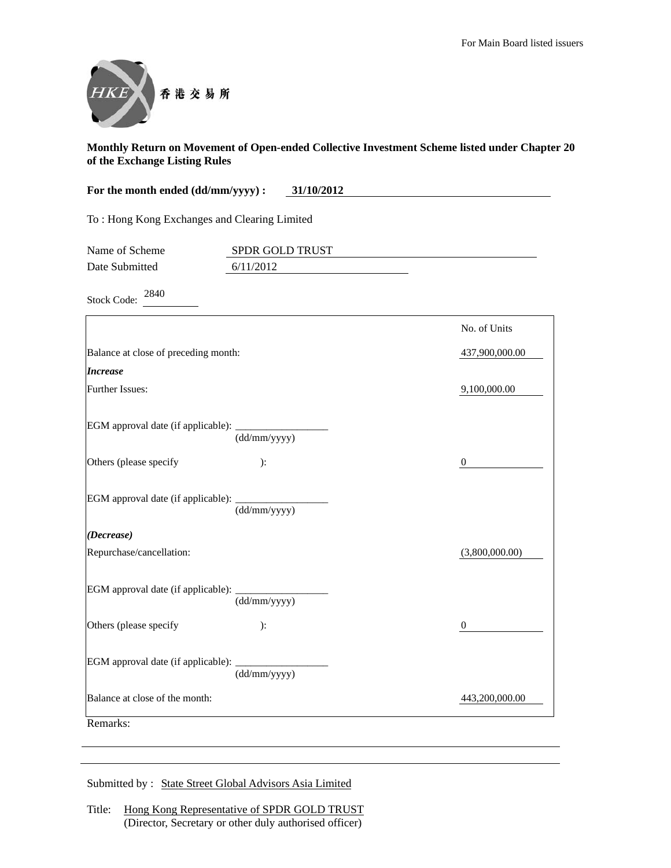

| For the month ended (dd/mm/yyyy) :           | 31/10/2012            |                  |
|----------------------------------------------|-----------------------|------------------|
| To: Hong Kong Exchanges and Clearing Limited |                       |                  |
| Name of Scheme                               | SPDR GOLD TRUST       |                  |
| Date Submitted                               | 6/11/2012             |                  |
| 2840<br><b>Stock Code:</b>                   |                       |                  |
|                                              |                       | No. of Units     |
| Balance at close of preceding month:         |                       | 437,900,000.00   |
| <i><b>Increase</b></i>                       |                       |                  |
| Further Issues:                              |                       | 9,100,000.00     |
| EGM approval date (if applicable): ______    | $(dd/\text{mm/yyyy})$ |                  |
| Others (please specify                       | ):                    | $\boldsymbol{0}$ |
| EGM approval date (if applicable):           | (dd/mm/yyyy)          |                  |
| (Decrease)                                   |                       |                  |
| Repurchase/cancellation:                     |                       | (3,800,000.00)   |
| EGM approval date (if applicable):           | (dd/mm/yyyy)          |                  |
| Others (please specify                       | ):                    | $\boldsymbol{0}$ |
| EGM approval date (if applicable):           | (dd/mm/yyyy)          |                  |
| Balance at close of the month:               |                       | 443,200,000.00   |
| Remarks:                                     |                       |                  |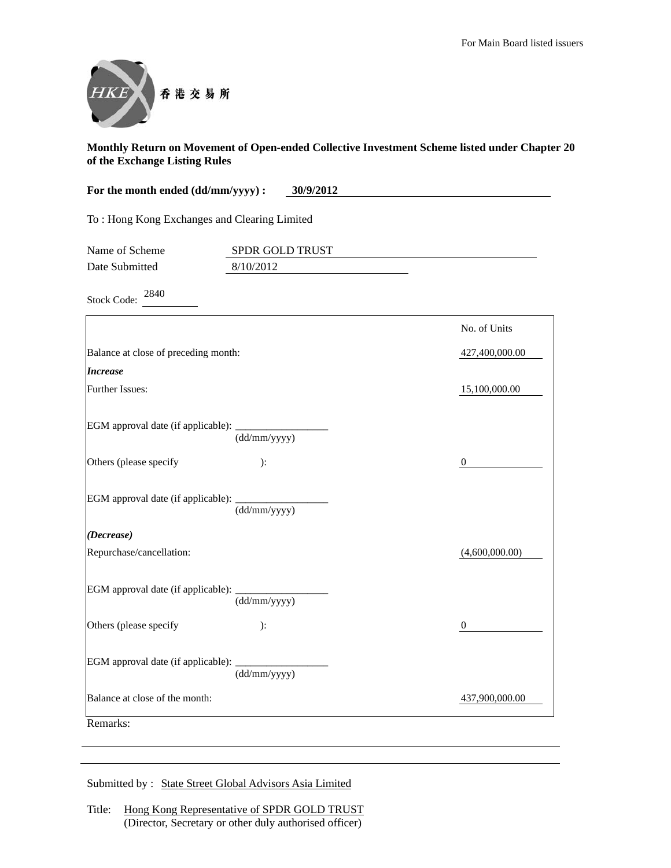

| For the month ended (dd/mm/yyyy) :<br>30/9/2012 |                 |                |
|-------------------------------------------------|-----------------|----------------|
| To: Hong Kong Exchanges and Clearing Limited    |                 |                |
| Name of Scheme                                  | SPDR GOLD TRUST |                |
| Date Submitted                                  | 8/10/2012       |                |
| 2840<br><b>Stock Code:</b>                      |                 |                |
|                                                 |                 | No. of Units   |
| Balance at close of preceding month:            |                 | 427,400,000.00 |
| <b>Increase</b>                                 |                 |                |
| Further Issues:                                 |                 | 15,100,000.00  |
| EGM approval date (if applicable):              | (dd/mm/yyyy)    |                |
| Others (please specify                          | ):              | $\theta$       |
| EGM approval date (if applicable):              | (dd/mm/yyyy)    |                |
| (Decrease)                                      |                 |                |
| Repurchase/cancellation:                        |                 | (4,600,000.00) |
| EGM approval date (if applicable):              | (dd/mm/yyyy)    |                |
| Others (please specify                          | ):              | $\mathbf{0}$   |
| EGM approval date (if applicable):              | (dd/mm/yyyy)    |                |
| Balance at close of the month:                  |                 | 437,900,000.00 |
| Remarks:                                        |                 |                |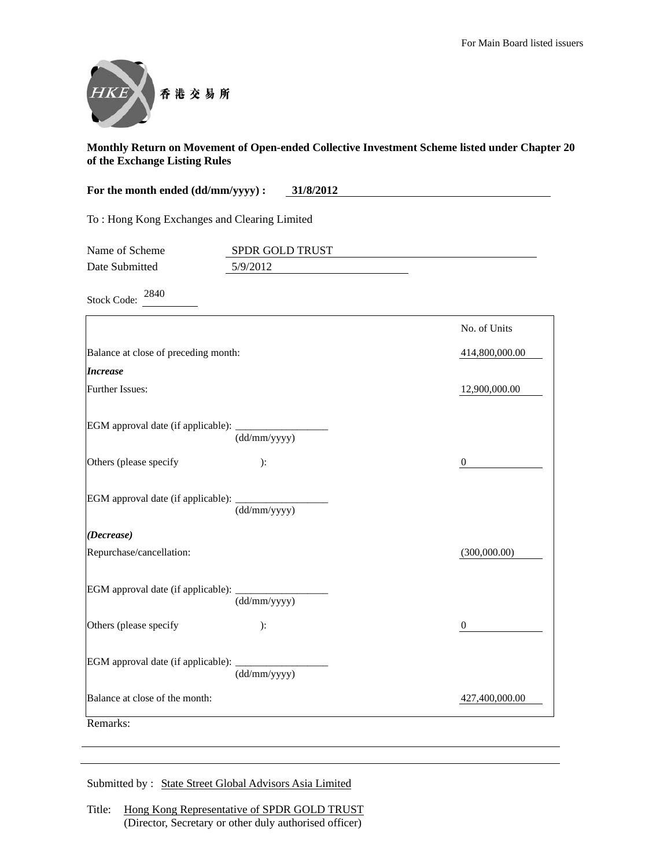

| For the month ended (dd/mm/yyyy) :<br>31/8/2012 |                           |                  |
|-------------------------------------------------|---------------------------|------------------|
| To: Hong Kong Exchanges and Clearing Limited    |                           |                  |
| Name of Scheme                                  | SPDR GOLD TRUST           |                  |
| Date Submitted                                  | 5/9/2012                  |                  |
| 2840<br><b>Stock Code:</b>                      |                           |                  |
|                                                 |                           | No. of Units     |
| Balance at close of preceding month:            |                           | 414,800,000.00   |
| <b>Increase</b>                                 |                           |                  |
| Further Issues:                                 |                           | 12,900,000.00    |
| EGM approval date (if applicable):              | (dd/mm/yyyy)              |                  |
| Others (please specify                          | ):                        | $\boldsymbol{0}$ |
| EGM approval date (if applicable):              | (dd/mm/yyyy)              |                  |
| (Decrease)                                      |                           |                  |
| Repurchase/cancellation:                        |                           | (300,000.00)     |
| EGM approval date (if applicable):              | $\overline{(dd/mm/yyyy)}$ |                  |
| Others (please specify                          | ):                        | $\boldsymbol{0}$ |
| EGM approval date (if applicable):              | (dd/mm/yyyy)              |                  |
| Balance at close of the month:                  |                           | 427,400,000.00   |
| Remarks:                                        |                           |                  |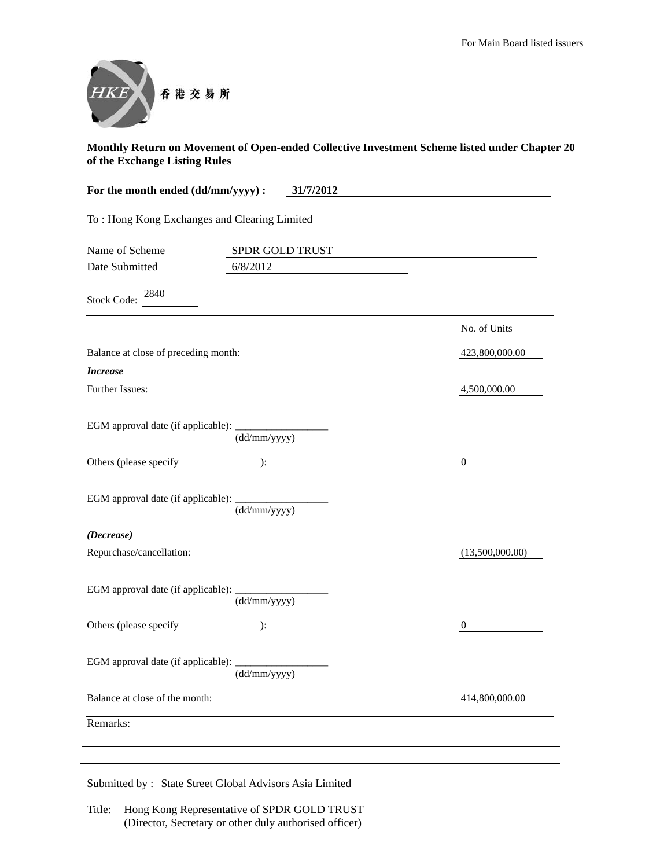

| For the month ended (dd/mm/yyyy) :<br>31/7/2012 |                 |                  |
|-------------------------------------------------|-----------------|------------------|
| To: Hong Kong Exchanges and Clearing Limited    |                 |                  |
| Name of Scheme                                  | SPDR GOLD TRUST |                  |
| Date Submitted                                  | 6/8/2012        |                  |
| 2840<br><b>Stock Code:</b>                      |                 |                  |
|                                                 |                 | No. of Units     |
| Balance at close of preceding month:            |                 | 423,800,000.00   |
| <b>Increase</b>                                 |                 |                  |
| Further Issues:                                 |                 | 4,500,000.00     |
| EGM approval date (if applicable):              | (dd/mm/yyyy)    |                  |
| Others (please specify                          | ):              | $\boldsymbol{0}$ |
| EGM approval date (if applicable):              | (dd/mm/yyyy)    |                  |
| (Decrease)                                      |                 |                  |
| Repurchase/cancellation:                        |                 | (13,500,000.00)  |
| EGM approval date (if applicable):              | (dd/mm/yyyy)    |                  |
| Others (please specify                          | ):              | $\boldsymbol{0}$ |
| EGM approval date (if applicable):              | (dd/mm/yyyy)    |                  |
| Balance at close of the month:                  |                 | 414,800,000.00   |
| Remarks:                                        |                 |                  |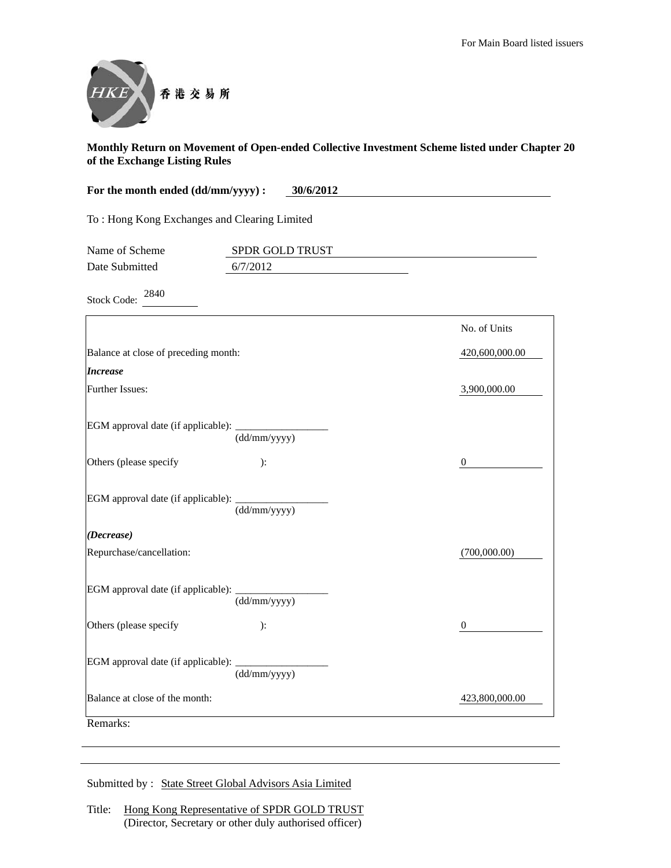

| For the month ended (dd/mm/yyyy) :<br>30/6/2012 |                 |                  |
|-------------------------------------------------|-----------------|------------------|
| To: Hong Kong Exchanges and Clearing Limited    |                 |                  |
| Name of Scheme                                  | SPDR GOLD TRUST |                  |
| Date Submitted                                  | 6/7/2012        |                  |
| 2840<br><b>Stock Code:</b>                      |                 |                  |
|                                                 |                 | No. of Units     |
| Balance at close of preceding month:            |                 | 420,600,000.00   |
| <b>Increase</b>                                 |                 |                  |
| Further Issues:                                 |                 | 3,900,000.00     |
| EGM approval date (if applicable):              | (dd/mm/yyyy)    |                  |
| Others (please specify                          | ):              | $\boldsymbol{0}$ |
| EGM approval date (if applicable):              | (dd/mm/yyyy)    |                  |
| (Decrease)                                      |                 |                  |
| Repurchase/cancellation:                        |                 | (700,000.00)     |
| EGM approval date (if applicable):              | (dd/mm/yyyy)    |                  |
| Others (please specify                          | ):              | $\boldsymbol{0}$ |
| EGM approval date (if applicable):              | (dd/mm/yyyy)    |                  |
| Balance at close of the month:                  |                 | 423,800,000.00   |
| Remarks:                                        |                 |                  |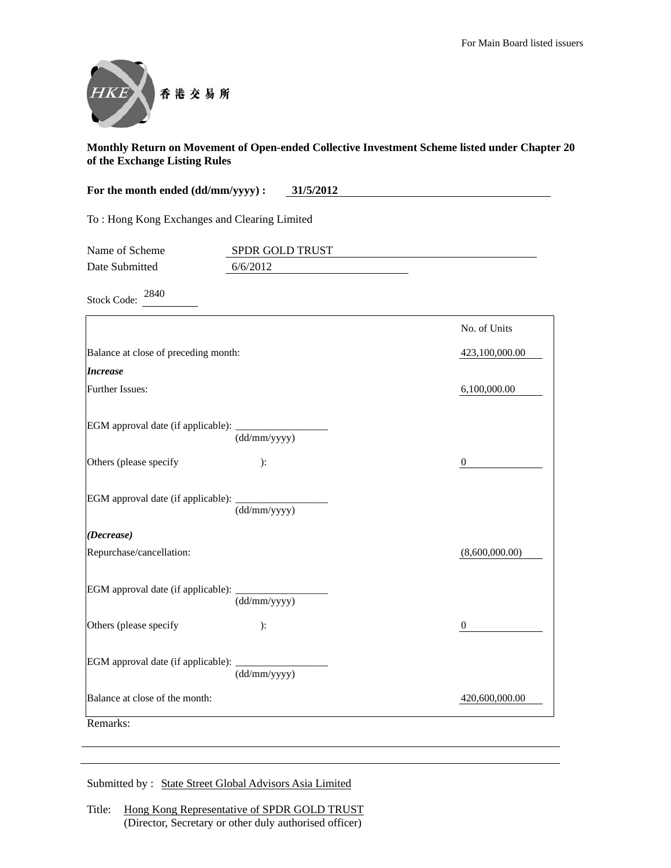

| For the month ended (dd/mm/yyyy) :<br>31/5/2012 |                 |                  |
|-------------------------------------------------|-----------------|------------------|
| To: Hong Kong Exchanges and Clearing Limited    |                 |                  |
| Name of Scheme                                  | SPDR GOLD TRUST |                  |
| Date Submitted                                  | 6/6/2012        |                  |
| 2840<br><b>Stock Code:</b>                      |                 |                  |
|                                                 |                 | No. of Units     |
| Balance at close of preceding month:            |                 | 423,100,000.00   |
| <b>Increase</b>                                 |                 |                  |
| Further Issues:                                 |                 | 6,100,000.00     |
| EGM approval date (if applicable):              | (dd/mm/yyyy)    |                  |
| Others (please specify                          | ):              | $\mathbf{0}$     |
| EGM approval date (if applicable):              | (dd/mm/yyyy)    |                  |
| (Decrease)                                      |                 |                  |
| Repurchase/cancellation:                        |                 | (8,600,000.00)   |
| EGM approval date (if applicable):              | (dd/mm/yyyy)    |                  |
| Others (please specify                          | ):              | $\boldsymbol{0}$ |
| EGM approval date (if applicable):              | (dd/mm/yyyy)    |                  |
| Balance at close of the month:                  |                 | 420,600,000.00   |
| Remarks:                                        |                 |                  |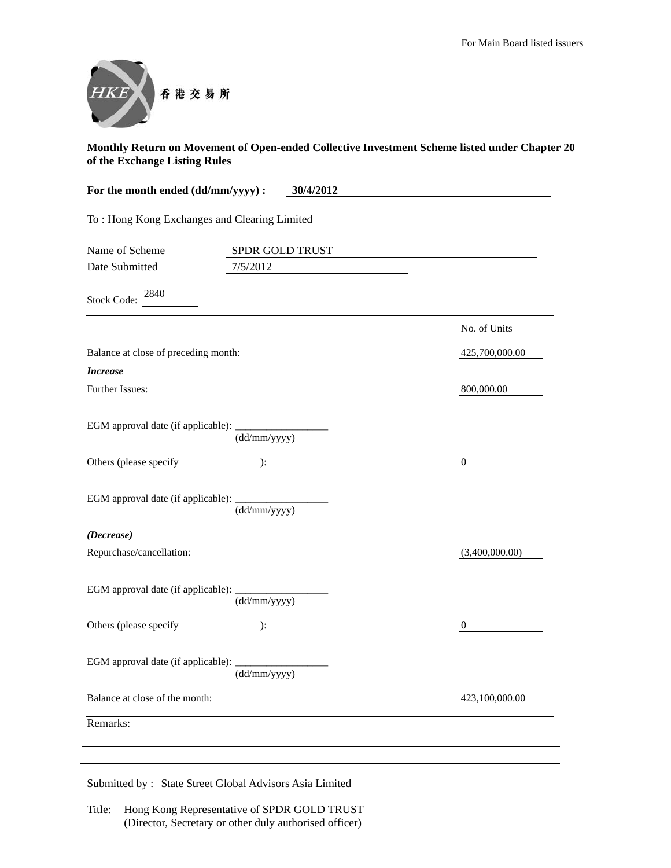

| For the month ended (dd/mm/yyyy) :<br>30/4/2012 |                 |                  |
|-------------------------------------------------|-----------------|------------------|
| To: Hong Kong Exchanges and Clearing Limited    |                 |                  |
| Name of Scheme                                  | SPDR GOLD TRUST |                  |
| Date Submitted                                  | 7/5/2012        |                  |
| 2840<br><b>Stock Code:</b>                      |                 |                  |
|                                                 |                 | No. of Units     |
| Balance at close of preceding month:            |                 | 425,700,000.00   |
| <b>Increase</b>                                 |                 |                  |
| Further Issues:                                 |                 | 800,000.00       |
| EGM approval date (if applicable):              | (dd/mm/yyyy)    |                  |
| Others (please specify                          | ):              | $\boldsymbol{0}$ |
| EGM approval date (if applicable):              | (dd/mm/yyyy)    |                  |
| (Decrease)                                      |                 |                  |
| Repurchase/cancellation:                        |                 | (3,400,000.00)   |
| EGM approval date (if applicable):              | (dd/mm/yyyy)    |                  |
| Others (please specify                          | ):              | $\mathbf{0}$     |
| EGM approval date (if applicable):              | (dd/mm/yyyy)    |                  |
| Balance at close of the month:                  |                 | 423,100,000.00   |
| Remarks:                                        |                 |                  |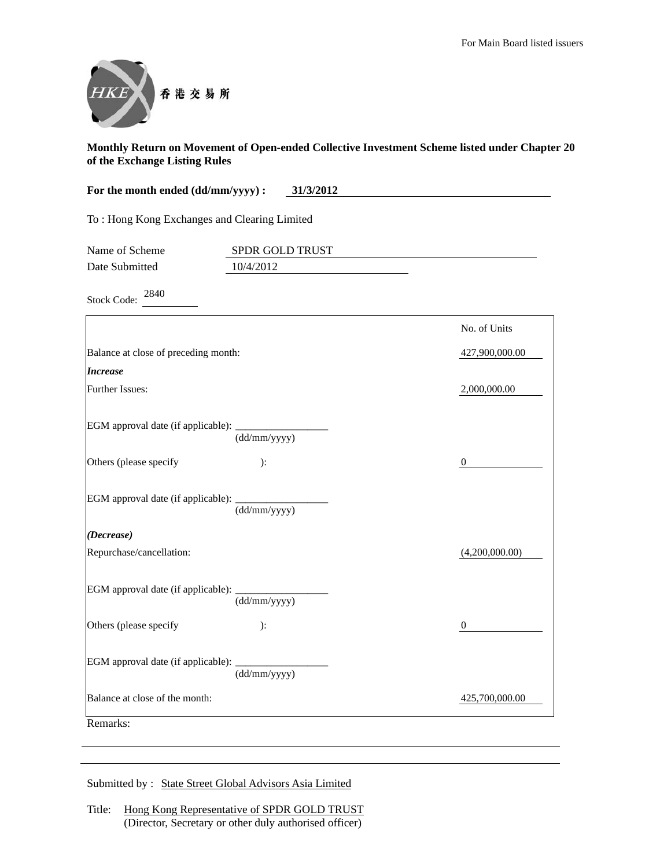

| For the month ended (dd/mm/yyyy) :<br>31/3/2012 |                              |                  |
|-------------------------------------------------|------------------------------|------------------|
| To: Hong Kong Exchanges and Clearing Limited    |                              |                  |
| Name of Scheme<br>Date Submitted                | SPDR GOLD TRUST<br>10/4/2012 |                  |
|                                                 |                              |                  |
| 2840<br><b>Stock Code:</b>                      |                              |                  |
|                                                 |                              | No. of Units     |
| Balance at close of preceding month:            |                              | 427,900,000.00   |
| <b>Increase</b>                                 |                              |                  |
| Further Issues:                                 |                              | 2,000,000.00     |
| EGM approval date (if applicable):              | (dd/mm/yyyy)                 |                  |
| Others (please specify                          | ):                           | $\mathbf{0}$     |
| EGM approval date (if applicable):              | (dd/mm/yyyy)                 |                  |
| (Decrease)                                      |                              |                  |
| Repurchase/cancellation:                        |                              | (4,200,000.00)   |
| EGM approval date (if applicable):              | (dd/mm/yyyy)                 |                  |
| Others (please specify                          | ):                           | $\boldsymbol{0}$ |
| EGM approval date (if applicable):              | (dd/mm/yyyy)                 |                  |
| Balance at close of the month:                  |                              | 425,700,000.00   |
| Remarks:                                        |                              |                  |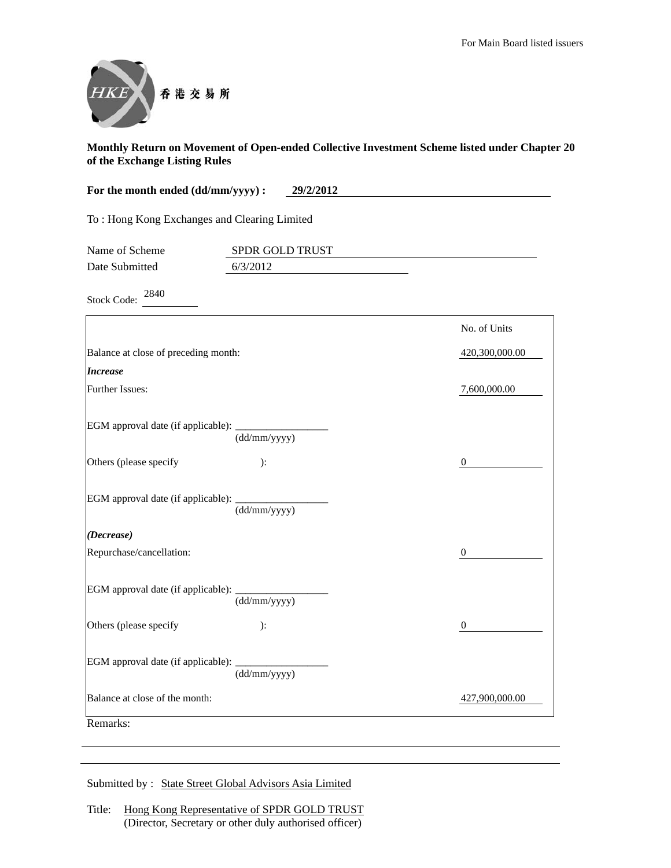

| For the month ended (dd/mm/yyyy) :<br>29/2/2012 |                             |                  |
|-------------------------------------------------|-----------------------------|------------------|
| To: Hong Kong Exchanges and Clearing Limited    |                             |                  |
| Name of Scheme<br>Date Submitted                | SPDR GOLD TRUST<br>6/3/2012 |                  |
|                                                 |                             |                  |
| 2840<br><b>Stock Code:</b>                      |                             |                  |
|                                                 |                             | No. of Units     |
| Balance at close of preceding month:            |                             | 420,300,000.00   |
| <b>Increase</b>                                 |                             |                  |
| Further Issues:                                 |                             | 7,600,000.00     |
| EGM approval date (if applicable):              | (dd/mm/yyyy)                |                  |
| Others (please specify                          | ):                          | $\mathbf{0}$     |
| EGM approval date (if applicable):              | (dd/mm/yyyy)                |                  |
| (Decrease)                                      |                             |                  |
| Repurchase/cancellation:                        |                             | $\boldsymbol{0}$ |
| EGM approval date (if applicable):              | (dd/mm/yyyy)                |                  |
| Others (please specify                          | ):                          | $\boldsymbol{0}$ |
| EGM approval date (if applicable):              | (dd/mm/yyyy)                |                  |
| Balance at close of the month:                  |                             | 427,900,000.00   |
| Remarks:                                        |                             |                  |